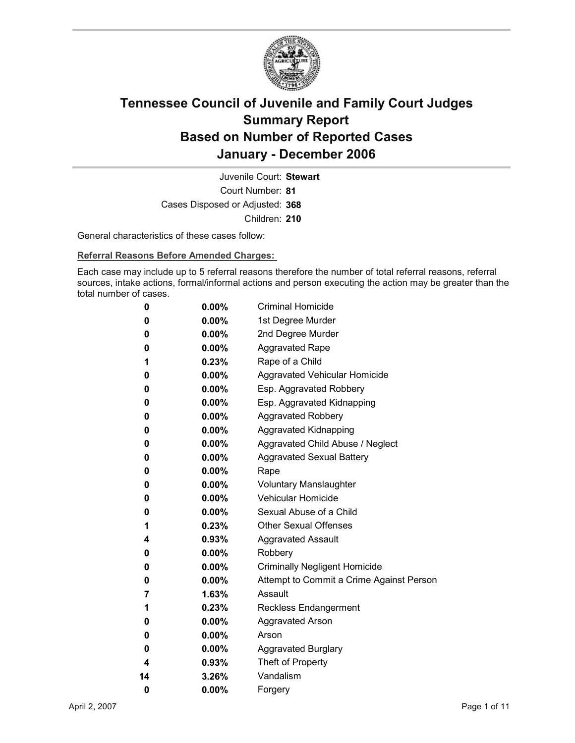

Court Number: **81** Juvenile Court: **Stewart** Cases Disposed or Adjusted: **368** Children: **210**

General characteristics of these cases follow:

**Referral Reasons Before Amended Charges:** 

Each case may include up to 5 referral reasons therefore the number of total referral reasons, referral sources, intake actions, formal/informal actions and person executing the action may be greater than the total number of cases.

| 0  | $0.00\%$ | <b>Criminal Homicide</b>                 |
|----|----------|------------------------------------------|
| 0  | $0.00\%$ | 1st Degree Murder                        |
| 0  | $0.00\%$ | 2nd Degree Murder                        |
| 0  | $0.00\%$ | <b>Aggravated Rape</b>                   |
| 1  | $0.23\%$ | Rape of a Child                          |
| 0  | $0.00\%$ | Aggravated Vehicular Homicide            |
| 0  | $0.00\%$ | Esp. Aggravated Robbery                  |
| 0  | $0.00\%$ | Esp. Aggravated Kidnapping               |
| 0  | $0.00\%$ | <b>Aggravated Robbery</b>                |
| 0  | $0.00\%$ | <b>Aggravated Kidnapping</b>             |
| 0  | $0.00\%$ | Aggravated Child Abuse / Neglect         |
| 0  | $0.00\%$ | <b>Aggravated Sexual Battery</b>         |
| 0  | $0.00\%$ | Rape                                     |
| 0  | $0.00\%$ | <b>Voluntary Manslaughter</b>            |
| 0  | $0.00\%$ | <b>Vehicular Homicide</b>                |
| 0  | $0.00\%$ | Sexual Abuse of a Child                  |
| 1  | $0.23\%$ | <b>Other Sexual Offenses</b>             |
| 4  | $0.93\%$ | <b>Aggravated Assault</b>                |
| 0  | $0.00\%$ | Robbery                                  |
| 0  | $0.00\%$ | <b>Criminally Negligent Homicide</b>     |
| 0  | $0.00\%$ | Attempt to Commit a Crime Against Person |
| 7  | 1.63%    | Assault                                  |
| 1  | $0.23\%$ | <b>Reckless Endangerment</b>             |
| 0  | $0.00\%$ | <b>Aggravated Arson</b>                  |
| 0  | $0.00\%$ | Arson                                    |
| 0  | $0.00\%$ | <b>Aggravated Burglary</b>               |
| 4  | $0.93\%$ | Theft of Property                        |
| 14 | 3.26%    | Vandalism                                |
| 0  | 0.00%    | Forgery                                  |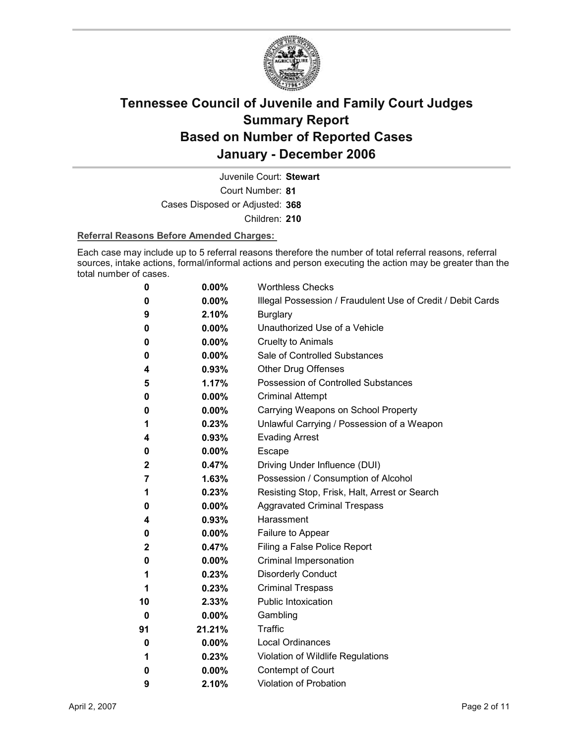

Court Number: **81** Juvenile Court: **Stewart** Cases Disposed or Adjusted: **368** Children: **210**

#### **Referral Reasons Before Amended Charges:**

Each case may include up to 5 referral reasons therefore the number of total referral reasons, referral sources, intake actions, formal/informal actions and person executing the action may be greater than the total number of cases.

| 0  | $0.00\%$ | <b>Worthless Checks</b>                                     |
|----|----------|-------------------------------------------------------------|
| 0  | 0.00%    | Illegal Possession / Fraudulent Use of Credit / Debit Cards |
| 9  | 2.10%    | <b>Burglary</b>                                             |
| 0  | 0.00%    | Unauthorized Use of a Vehicle                               |
| 0  | $0.00\%$ | <b>Cruelty to Animals</b>                                   |
| 0  | 0.00%    | Sale of Controlled Substances                               |
| 4  | 0.93%    | <b>Other Drug Offenses</b>                                  |
| 5  | 1.17%    | Possession of Controlled Substances                         |
| 0  | $0.00\%$ | <b>Criminal Attempt</b>                                     |
| 0  | $0.00\%$ | Carrying Weapons on School Property                         |
| 1  | 0.23%    | Unlawful Carrying / Possession of a Weapon                  |
| 4  | 0.93%    | <b>Evading Arrest</b>                                       |
| 0  | $0.00\%$ | Escape                                                      |
| 2  | 0.47%    | Driving Under Influence (DUI)                               |
| 7  | 1.63%    | Possession / Consumption of Alcohol                         |
| 1  | 0.23%    | Resisting Stop, Frisk, Halt, Arrest or Search               |
| 0  | 0.00%    | <b>Aggravated Criminal Trespass</b>                         |
| 4  | 0.93%    | Harassment                                                  |
| 0  | 0.00%    | Failure to Appear                                           |
| 2  | 0.47%    | Filing a False Police Report                                |
| 0  | $0.00\%$ | Criminal Impersonation                                      |
| 1  | 0.23%    | <b>Disorderly Conduct</b>                                   |
| 1  | 0.23%    | <b>Criminal Trespass</b>                                    |
| 10 | 2.33%    | <b>Public Intoxication</b>                                  |
| 0  | $0.00\%$ | Gambling                                                    |
| 91 | 21.21%   | Traffic                                                     |
| 0  | $0.00\%$ | <b>Local Ordinances</b>                                     |
| 1  | 0.23%    | Violation of Wildlife Regulations                           |
| 0  | $0.00\%$ | Contempt of Court                                           |
| 9  | 2.10%    | <b>Violation of Probation</b>                               |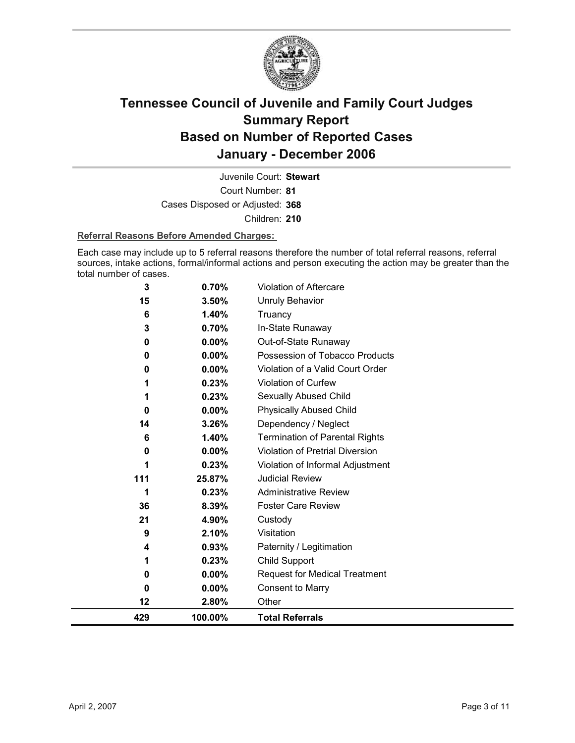

Court Number: **81** Juvenile Court: **Stewart** Cases Disposed or Adjusted: **368** Children: **210**

#### **Referral Reasons Before Amended Charges:**

Each case may include up to 5 referral reasons therefore the number of total referral reasons, referral sources, intake actions, formal/informal actions and person executing the action may be greater than the total number of cases.

| 429          | 100.00%  | <b>Total Referrals</b>                 |
|--------------|----------|----------------------------------------|
| 12           | 2.80%    | Other                                  |
| 0            | $0.00\%$ | <b>Consent to Marry</b>                |
| 0            | $0.00\%$ | <b>Request for Medical Treatment</b>   |
| 1            | 0.23%    | <b>Child Support</b>                   |
| 4            | 0.93%    | Paternity / Legitimation               |
| 9            | 2.10%    | Visitation                             |
| 21           | 4.90%    | Custody                                |
| 36           | 8.39%    | <b>Foster Care Review</b>              |
| 1            | 0.23%    | <b>Administrative Review</b>           |
| 111          | 25.87%   | <b>Judicial Review</b>                 |
|              | 0.23%    | Violation of Informal Adjustment       |
| 0            | 0.00%    | <b>Violation of Pretrial Diversion</b> |
| 6            | 1.40%    | <b>Termination of Parental Rights</b>  |
| 14           | 3.26%    | Dependency / Neglect                   |
| $\bf{0}$     | $0.00\%$ | <b>Physically Abused Child</b>         |
|              | 0.23%    | Sexually Abused Child                  |
|              | 0.23%    | Violation of Curfew                    |
| 0            | $0.00\%$ | Violation of a Valid Court Order       |
| $\bf{0}$     | $0.00\%$ | Possession of Tobacco Products         |
| 0            | $0.00\%$ | Out-of-State Runaway                   |
| 3            | 0.70%    | In-State Runaway                       |
| 6            | 1.40%    | Truancy                                |
| 15           | 3.50%    | <b>Unruly Behavior</b>                 |
| $\mathbf{3}$ | 0.70%    | Violation of Aftercare                 |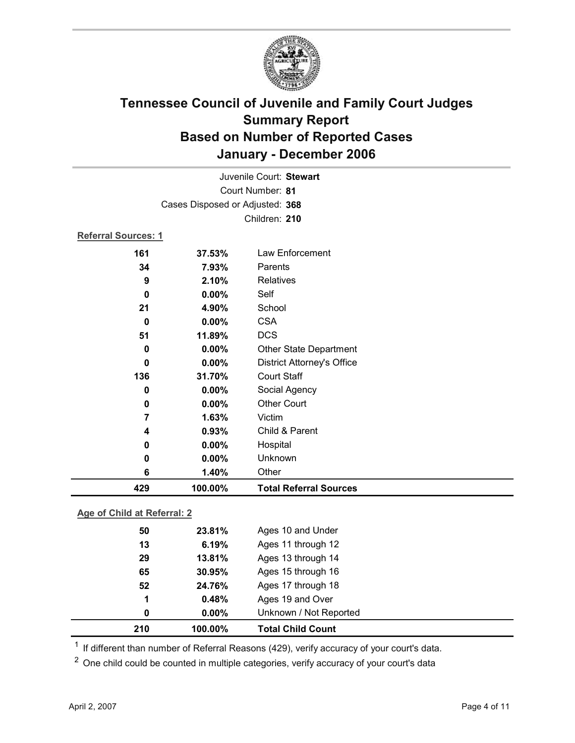

|                             |                                 | Juvenile Court: Stewart           |  |
|-----------------------------|---------------------------------|-----------------------------------|--|
|                             |                                 | Court Number: 81                  |  |
|                             | Cases Disposed or Adjusted: 368 |                                   |  |
|                             |                                 | Children: 210                     |  |
| <b>Referral Sources: 1</b>  |                                 |                                   |  |
| 161                         | 37.53%                          | Law Enforcement                   |  |
| 34                          | 7.93%                           | Parents                           |  |
| 9                           | 2.10%                           | Relatives                         |  |
| 0                           | 0.00%                           | Self                              |  |
| 21                          | 4.90%                           | School                            |  |
| 0                           | $0.00\%$                        | <b>CSA</b>                        |  |
| 51                          | 11.89%                          | <b>DCS</b>                        |  |
| $\mathbf 0$                 | 0.00%                           | Other State Department            |  |
| 0                           | 0.00%                           | <b>District Attorney's Office</b> |  |
| 136                         | 31.70%                          | <b>Court Staff</b>                |  |
| $\mathbf 0$                 | 0.00%                           | Social Agency                     |  |
| 0                           | 0.00%                           | <b>Other Court</b>                |  |
| 7                           | 1.63%                           | Victim                            |  |
| 4                           | 0.93%                           | Child & Parent                    |  |
| 0                           | 0.00%                           | Hospital                          |  |
| 0                           | 0.00%                           | Unknown                           |  |
| 6                           | 1.40%                           | Other                             |  |
| 429                         | 100.00%                         | <b>Total Referral Sources</b>     |  |
| Age of Child at Referral: 2 |                                 |                                   |  |
| 50                          | 23.81%                          | Ages 10 and Under                 |  |
| 13                          | <b>6 19%</b>                    | Ages 11 through 12                |  |

| 210 | 100.00%  | <b>Total Child Count</b> |
|-----|----------|--------------------------|
| 0   | $0.00\%$ | Unknown / Not Reported   |
| 1   | 0.48%    | Ages 19 and Over         |
| 52  | 24.76%   | Ages 17 through 18       |
| 65  | 30.95%   | Ages 15 through 16       |
| 29  | 13.81%   | Ages 13 through 14       |
| 13  | 6.19%    | Ages 11 through 12       |
| --  | -----    |                          |

<sup>1</sup> If different than number of Referral Reasons (429), verify accuracy of your court's data.

<sup>2</sup> One child could be counted in multiple categories, verify accuracy of your court's data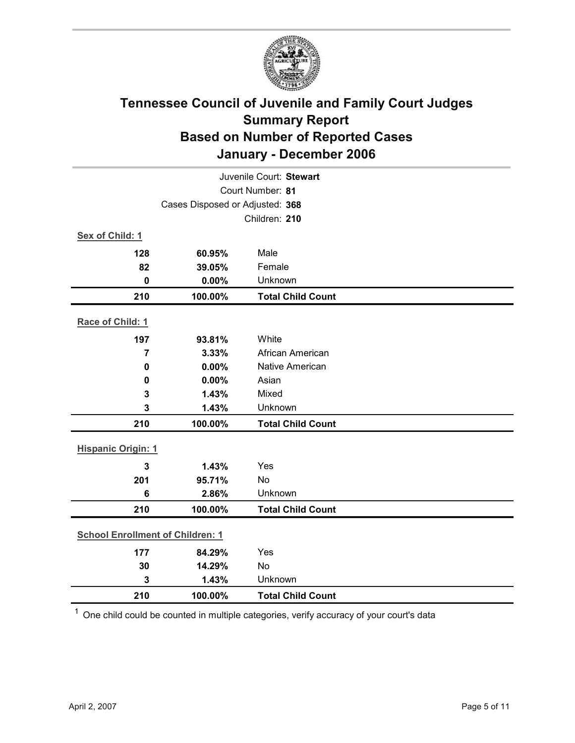

| Juvenile Court: Stewart                 |                  |                          |  |  |
|-----------------------------------------|------------------|--------------------------|--|--|
|                                         | Court Number: 81 |                          |  |  |
| Cases Disposed or Adjusted: 368         |                  |                          |  |  |
|                                         | Children: 210    |                          |  |  |
| Sex of Child: 1                         |                  |                          |  |  |
| 128                                     | 60.95%           | Male                     |  |  |
| 82                                      | 39.05%           | Female                   |  |  |
| $\mathbf 0$                             | 0.00%            | Unknown                  |  |  |
| 210                                     | 100.00%          | <b>Total Child Count</b> |  |  |
| Race of Child: 1                        |                  |                          |  |  |
| 197                                     | 93.81%           | White                    |  |  |
| $\overline{7}$                          | 3.33%            | African American         |  |  |
| $\pmb{0}$                               | 0.00%            | <b>Native American</b>   |  |  |
| 0                                       | 0.00%            | Asian                    |  |  |
| 3                                       | 1.43%            | Mixed                    |  |  |
| 3                                       | 1.43%            | Unknown                  |  |  |
| 210                                     | 100.00%          | <b>Total Child Count</b> |  |  |
| <b>Hispanic Origin: 1</b>               |                  |                          |  |  |
| 3                                       | 1.43%            | Yes                      |  |  |
| 201                                     | 95.71%           | No                       |  |  |
| $6\phantom{1}6$                         | 2.86%            | Unknown                  |  |  |
| 210                                     | 100.00%          | <b>Total Child Count</b> |  |  |
| <b>School Enrollment of Children: 1</b> |                  |                          |  |  |
| 177                                     | 84.29%           | Yes                      |  |  |
| 30                                      | 14.29%           | No                       |  |  |
| 3                                       | 1.43%            | Unknown                  |  |  |
| 210                                     | 100.00%          | <b>Total Child Count</b> |  |  |

 $1$  One child could be counted in multiple categories, verify accuracy of your court's data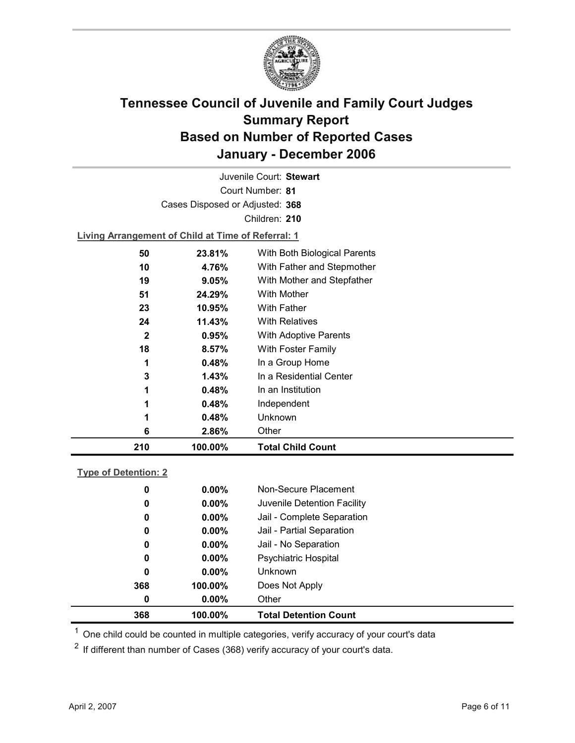

Court Number: **81** Juvenile Court: **Stewart** Cases Disposed or Adjusted: **368** Children: **210 Living Arrangement of Child at Time of Referral: 1 50 23.81%** With Both Biological Parents

| 210          | 100.00% | <b>Total Child Count</b>     |
|--------------|---------|------------------------------|
| 6            | 2.86%   | Other                        |
| 1            | 0.48%   | Unknown                      |
| 1            | 0.48%   | Independent                  |
| 1            | 0.48%   | In an Institution            |
| 3            | 1.43%   | In a Residential Center      |
| 1            | 0.48%   | In a Group Home              |
| 18           | 8.57%   | With Foster Family           |
| $\mathbf{2}$ | 0.95%   | <b>With Adoptive Parents</b> |
| 24           | 11.43%  | <b>With Relatives</b>        |
| 23           | 10.95%  | <b>With Father</b>           |
| 51           | 24.29%  | <b>With Mother</b>           |
| 19           | 9.05%   | With Mother and Stepfather   |
| 10           | 4.76%   | With Father and Stepmother   |
|              |         |                              |

### **Type of Detention: 2**

| 368 | 100.00%  | <b>Total Detention Count</b> |
|-----|----------|------------------------------|
| 0   | $0.00\%$ | Other                        |
| 368 | 100.00%  | Does Not Apply               |
| 0   | $0.00\%$ | <b>Unknown</b>               |
| 0   | $0.00\%$ | <b>Psychiatric Hospital</b>  |
| 0   | $0.00\%$ | Jail - No Separation         |
| 0   | $0.00\%$ | Jail - Partial Separation    |
| 0   | $0.00\%$ | Jail - Complete Separation   |
| 0   | $0.00\%$ | Juvenile Detention Facility  |
| 0   | $0.00\%$ | Non-Secure Placement         |
|     |          |                              |

 $<sup>1</sup>$  One child could be counted in multiple categories, verify accuracy of your court's data</sup>

 $2$  If different than number of Cases (368) verify accuracy of your court's data.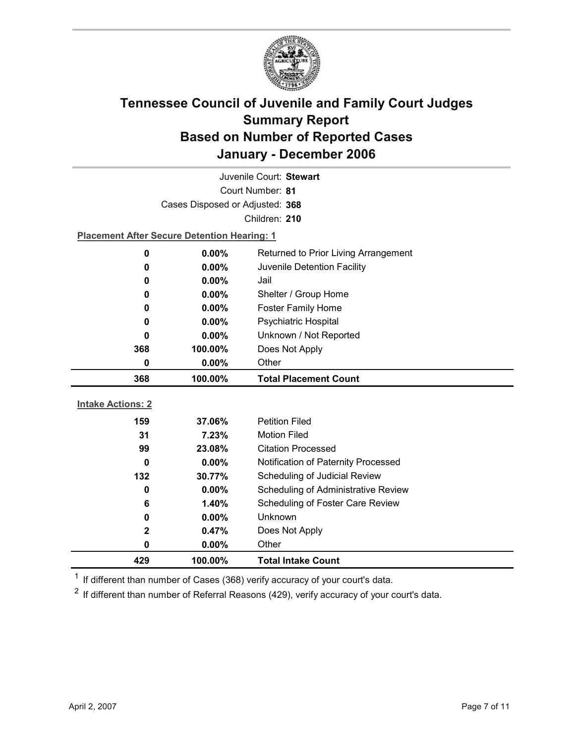

| Juvenile Court: Stewart  |                                                    |                                     |  |  |
|--------------------------|----------------------------------------------------|-------------------------------------|--|--|
| Court Number: 81         |                                                    |                                     |  |  |
|                          | Cases Disposed or Adjusted: 368                    |                                     |  |  |
|                          |                                                    | Children: 210                       |  |  |
|                          | <b>Placement After Secure Detention Hearing: 1</b> |                                     |  |  |
| 0                        | $0.00\%$<br>Returned to Prior Living Arrangement   |                                     |  |  |
| 0                        | $0.00\%$                                           | Juvenile Detention Facility         |  |  |
| 0                        | 0.00%                                              | Jail                                |  |  |
| 0                        | $0.00\%$                                           | Shelter / Group Home                |  |  |
| $\bf{0}$                 | $0.00\%$                                           | <b>Foster Family Home</b>           |  |  |
| 0                        | Psychiatric Hospital<br>0.00%                      |                                     |  |  |
| $\bf{0}$                 | Unknown / Not Reported<br>0.00%                    |                                     |  |  |
| 368                      | Does Not Apply<br>100.00%                          |                                     |  |  |
| 0                        | Other<br>$0.00\%$                                  |                                     |  |  |
|                          |                                                    |                                     |  |  |
| 368                      | 100.00%                                            | <b>Total Placement Count</b>        |  |  |
|                          |                                                    |                                     |  |  |
| <b>Intake Actions: 2</b> |                                                    |                                     |  |  |
| 159                      | 37.06%                                             | <b>Petition Filed</b>               |  |  |
| 31                       | 7.23%                                              | <b>Motion Filed</b>                 |  |  |
| 99                       | 23.08%                                             | <b>Citation Processed</b>           |  |  |
| 0                        | $0.00\%$                                           | Notification of Paternity Processed |  |  |
| 132                      | 30.77%                                             | Scheduling of Judicial Review       |  |  |
| $\bf{0}$                 | 0.00%                                              | Scheduling of Administrative Review |  |  |
| 6                        | 1.40%                                              | Scheduling of Foster Care Review    |  |  |
| 0                        | 0.00%                                              | Unknown                             |  |  |
| $\mathbf 2$<br>0         | 0.47%<br>$0.00\%$                                  | Does Not Apply<br>Other             |  |  |

 $1$  If different than number of Cases (368) verify accuracy of your court's data.

 $2$  If different than number of Referral Reasons (429), verify accuracy of your court's data.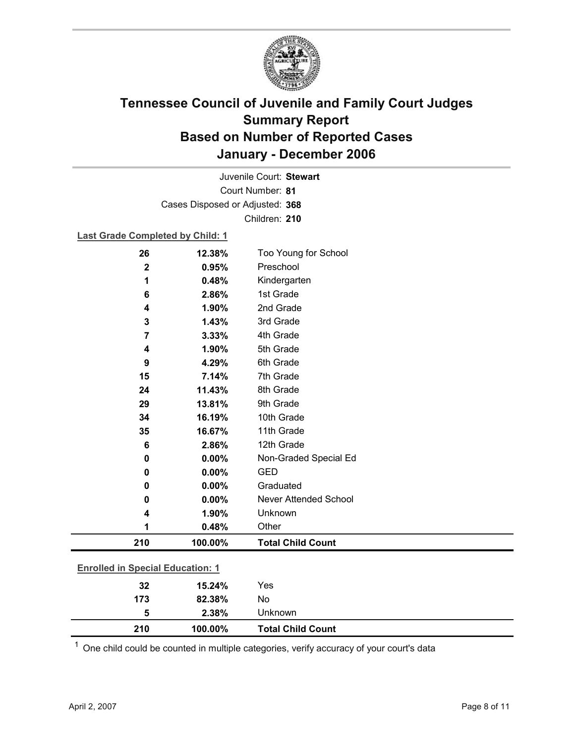

Court Number: **81** Juvenile Court: **Stewart** Cases Disposed or Adjusted: **368** Children: **210**

#### **Last Grade Completed by Child: 1**

| 26             | 12.38%                                  | Too Young for School         |  |  |
|----------------|-----------------------------------------|------------------------------|--|--|
| $\mathbf 2$    | 0.95%                                   | Preschool                    |  |  |
| 1              | 0.48%                                   | Kindergarten                 |  |  |
| 6              | 2.86%                                   | 1st Grade                    |  |  |
| 4              | 1.90%                                   | 2nd Grade                    |  |  |
| 3              | 1.43%                                   | 3rd Grade                    |  |  |
| $\overline{7}$ | 3.33%                                   | 4th Grade                    |  |  |
| 4              | 1.90%                                   | 5th Grade                    |  |  |
| 9              | 4.29%                                   | 6th Grade                    |  |  |
| 15             | 7.14%                                   | 7th Grade                    |  |  |
| 24             | 11.43%                                  | 8th Grade                    |  |  |
| 29             | 13.81%                                  | 9th Grade                    |  |  |
| 34             | 16.19%                                  | 10th Grade                   |  |  |
| 35             | 16.67%                                  | 11th Grade                   |  |  |
| 6              | 2.86%                                   | 12th Grade                   |  |  |
| 0              | 0.00%                                   | Non-Graded Special Ed        |  |  |
| 0              | 0.00%                                   | <b>GED</b>                   |  |  |
| 0              | 0.00%                                   | Graduated                    |  |  |
| 0              | 0.00%                                   | <b>Never Attended School</b> |  |  |
| 4              | 1.90%                                   | Unknown                      |  |  |
| 1              | 0.48%                                   | Other                        |  |  |
| 210            | 100.00%                                 | <b>Total Child Count</b>     |  |  |
|                | <b>Enrolled in Special Education: 1</b> |                              |  |  |
| 32             | 15.24%                                  | Yes                          |  |  |
| 173            | 82.38%                                  | No                           |  |  |
| 5              | 2.38%                                   | Unknown                      |  |  |

 $1$  One child could be counted in multiple categories, verify accuracy of your court's data

**210 100.00% Total Child Count**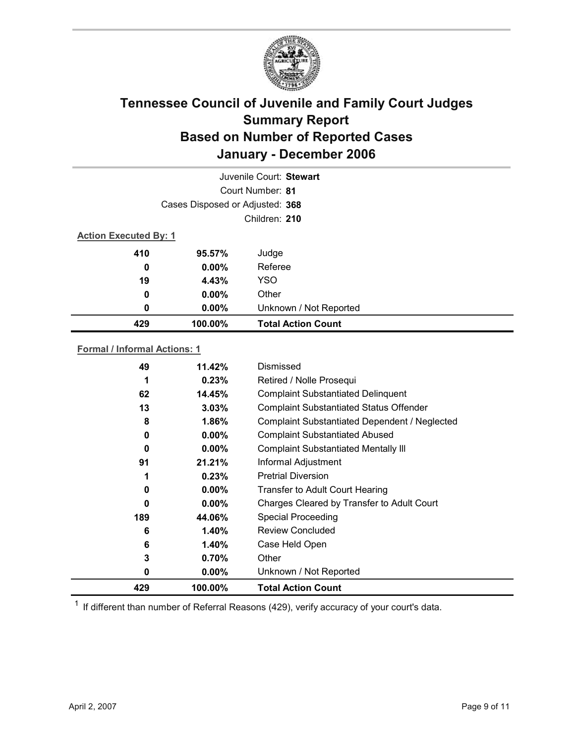

|                  | Juvenile Court: Stewart         |                           |  |  |
|------------------|---------------------------------|---------------------------|--|--|
|                  | Court Number: 81                |                           |  |  |
|                  | Cases Disposed or Adjusted: 368 |                           |  |  |
|                  | Children: 210                   |                           |  |  |
|                  | <b>Action Executed By: 1</b>    |                           |  |  |
| 410              | 95.57%                          | Judge                     |  |  |
| $\boldsymbol{0}$ | $0.00\%$                        | Referee                   |  |  |
| 19               | 4.43%                           | <b>YSO</b>                |  |  |
| $\boldsymbol{0}$ | $0.00\%$                        | Other                     |  |  |
| 0                | $0.00\%$                        | Unknown / Not Reported    |  |  |
| 429              | 100.00%                         | <b>Total Action Count</b> |  |  |

### **Formal / Informal Actions: 1**

| 49  | 11.42%   | Dismissed                                      |
|-----|----------|------------------------------------------------|
| 1   | 0.23%    | Retired / Nolle Prosequi                       |
| 62  | 14.45%   | <b>Complaint Substantiated Delinquent</b>      |
| 13  | 3.03%    | <b>Complaint Substantiated Status Offender</b> |
| 8   | 1.86%    | Complaint Substantiated Dependent / Neglected  |
| 0   | $0.00\%$ | <b>Complaint Substantiated Abused</b>          |
| 0   | $0.00\%$ | <b>Complaint Substantiated Mentally III</b>    |
| 91  | 21.21%   | Informal Adjustment                            |
|     | 0.23%    | <b>Pretrial Diversion</b>                      |
| 0   | $0.00\%$ | <b>Transfer to Adult Court Hearing</b>         |
| 0   | $0.00\%$ | Charges Cleared by Transfer to Adult Court     |
| 189 | 44.06%   | <b>Special Proceeding</b>                      |
| 6   | $1.40\%$ | <b>Review Concluded</b>                        |
| 6   | $1.40\%$ | Case Held Open                                 |
| 3   | 0.70%    | Other                                          |
| 0   | $0.00\%$ | Unknown / Not Reported                         |
| 429 | 100.00%  | <b>Total Action Count</b>                      |

 $1$  If different than number of Referral Reasons (429), verify accuracy of your court's data.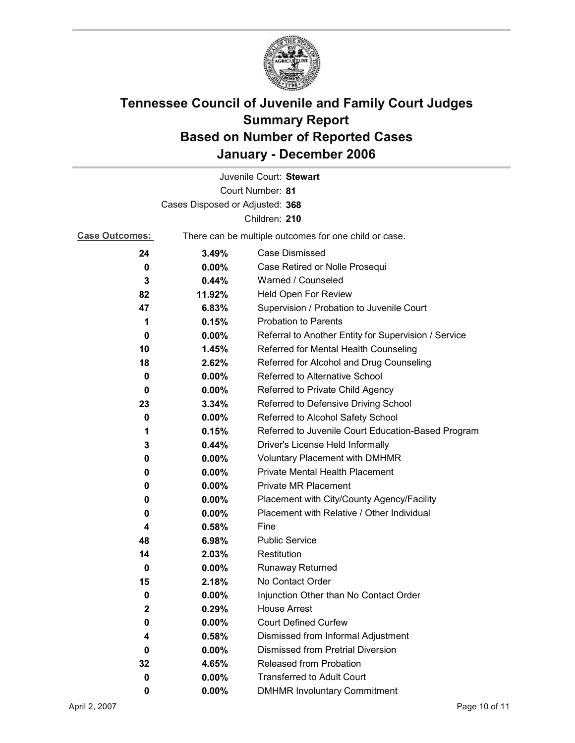

|                                 |                                                       | Juvenile Court: Stewart                              |
|---------------------------------|-------------------------------------------------------|------------------------------------------------------|
|                                 |                                                       | Court Number: 81                                     |
| Cases Disposed or Adjusted: 368 |                                                       |                                                      |
|                                 |                                                       | Children: 210                                        |
| <b>Case Outcomes:</b>           | There can be multiple outcomes for one child or case. |                                                      |
| 24                              | 3.49%                                                 | Case Dismissed                                       |
| 0                               | $0.00\%$                                              | Case Retired or Nolle Prosequi                       |
| 3                               | 0.44%                                                 | Warned / Counseled                                   |
| 82                              | 11.92%                                                | Held Open For Review                                 |
| 47                              | 6.83%                                                 | Supervision / Probation to Juvenile Court            |
| 1                               | 0.15%                                                 | <b>Probation to Parents</b>                          |
| 0                               | $0.00\%$                                              | Referral to Another Entity for Supervision / Service |
| 10                              | 1.45%                                                 | Referred for Mental Health Counseling                |
| 18                              | 2.62%                                                 | Referred for Alcohol and Drug Counseling             |
| 0                               | 0.00%                                                 | Referred to Alternative School                       |
| 0                               | $0.00\%$                                              | Referred to Private Child Agency                     |
| 23                              | 3.34%                                                 | Referred to Defensive Driving School                 |
| 0                               | $0.00\%$                                              | Referred to Alcohol Safety School                    |
| 1                               | 0.15%                                                 | Referred to Juvenile Court Education-Based Program   |
| 3                               | 0.44%                                                 | Driver's License Held Informally                     |
| 0                               | $0.00\%$                                              | <b>Voluntary Placement with DMHMR</b>                |
| 0                               | 0.00%                                                 | <b>Private Mental Health Placement</b>               |
| 0                               | $0.00\%$                                              | <b>Private MR Placement</b>                          |
| 0                               | $0.00\%$                                              | Placement with City/County Agency/Facility           |
| 0                               | $0.00\%$                                              | Placement with Relative / Other Individual           |
| 4                               | 0.58%                                                 | Fine                                                 |
| 48                              | 6.98%                                                 | <b>Public Service</b>                                |
| 14                              | 2.03%                                                 | Restitution                                          |
| 0                               | $0.00\%$                                              | <b>Runaway Returned</b>                              |
| 15                              | 2.18%                                                 | No Contact Order                                     |
| 0                               | 0.00%                                                 | Injunction Other than No Contact Order               |
| 2                               | 0.29%                                                 | <b>House Arrest</b>                                  |
| 0                               | $0.00\%$                                              | <b>Court Defined Curfew</b>                          |
| 4                               | 0.58%                                                 | Dismissed from Informal Adjustment                   |
| 0                               | 0.00%                                                 | <b>Dismissed from Pretrial Diversion</b>             |
| 32                              | 4.65%                                                 | <b>Released from Probation</b>                       |
| 0                               | $0.00\%$                                              | <b>Transferred to Adult Court</b>                    |
| 0                               | 0.00%                                                 | <b>DMHMR Involuntary Commitment</b>                  |